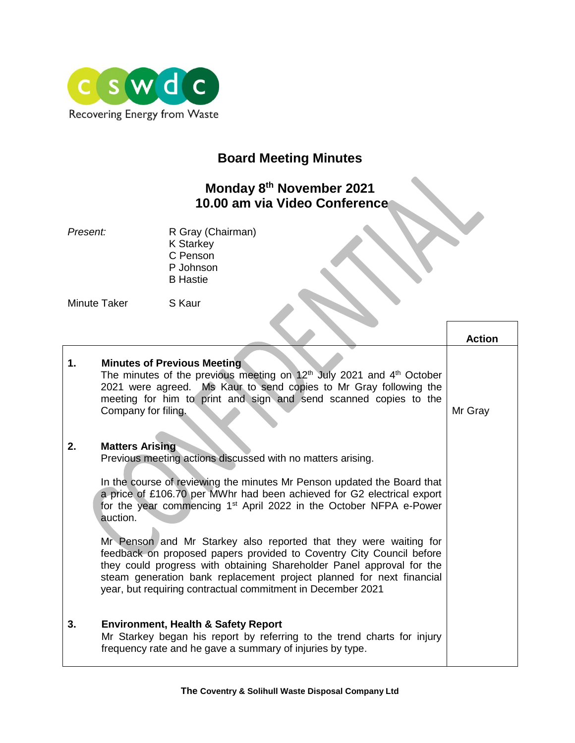

## **Board Meeting Minutes**

## **Monday 8th November 2021 10.00 am via Video Conference**

| R Gray (Chairman) |
|-------------------|
| <b>K</b> Starkey  |
| C Penson          |
| P Johnson         |
| <b>B</b> Hastie   |
|                   |
|                   |

Minute Taker S Kaur

**Action 1. Minutes of Previous Meeting** The minutes of the previous meeting on  $12<sup>th</sup>$  July 2021 and  $4<sup>th</sup>$  October 2021 were agreed. Ms Kaur to send copies to Mr Gray following the meeting for him to print and sign and send scanned copies to the Company for filing. **2. Matters Arising** Previous meeting actions discussed with no matters arising. In the course of reviewing the minutes Mr Penson updated the Board that a price of £106.70 per MWhr had been achieved for G2 electrical export for the year commencing 1<sup>st</sup> April 2022 in the October NFPA e-Power auction. Mr Penson and Mr Starkey also reported that they were waiting for feedback on proposed papers provided to Coventry City Council before they could progress with obtaining Shareholder Panel approval for the steam generation bank replacement project planned for next financial year, but requiring contractual commitment in December 2021 **3. Environment, Health & Safety Report** Mr Starkey began his report by referring to the trend charts for injury frequency rate and he gave a summary of injuries by type. Mr Gray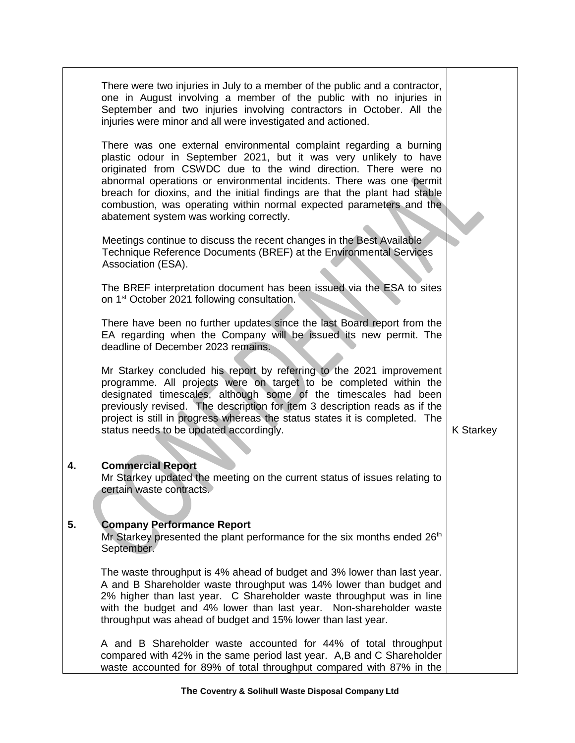|    | There were two injuries in July to a member of the public and a contractor,<br>one in August involving a member of the public with no injuries in<br>September and two injuries involving contractors in October. All the<br>injuries were minor and all were investigated and actioned.                                                                                                                                                                                          |                  |
|----|-----------------------------------------------------------------------------------------------------------------------------------------------------------------------------------------------------------------------------------------------------------------------------------------------------------------------------------------------------------------------------------------------------------------------------------------------------------------------------------|------------------|
|    | There was one external environmental complaint regarding a burning<br>plastic odour in September 2021, but it was very unlikely to have<br>originated from CSWDC due to the wind direction. There were no<br>abnormal operations or environmental incidents. There was one permit<br>breach for dioxins, and the initial findings are that the plant had stable<br>combustion, was operating within normal expected parameters and the<br>abatement system was working correctly. |                  |
|    | Meetings continue to discuss the recent changes in the Best Available<br>Technique Reference Documents (BREF) at the Environmental Services<br>Association (ESA).                                                                                                                                                                                                                                                                                                                 |                  |
|    | The BREF interpretation document has been issued via the ESA to sites<br>on 1 <sup>st</sup> October 2021 following consultation.                                                                                                                                                                                                                                                                                                                                                  |                  |
|    | There have been no further updates since the last Board report from the<br>EA regarding when the Company will be issued its new permit. The<br>deadline of December 2023 remains.                                                                                                                                                                                                                                                                                                 |                  |
|    | Mr Starkey concluded his report by referring to the 2021 improvement<br>programme. All projects were on target to be completed within the<br>designated timescales, although some of the timescales had been<br>previously revised. The description for item 3 description reads as if the<br>project is still in progress whereas the status states it is completed. The<br>status needs to be updated accordingly.                                                              | <b>K Starkey</b> |
| 4. | <b>Commercial Report</b><br>Mr Starkey updated the meeting on the current status of issues relating to<br>certain waste contracts.                                                                                                                                                                                                                                                                                                                                                |                  |
| 5. | <b>Company Performance Report</b><br>Mr Starkey presented the plant performance for the six months ended 26 <sup>th</sup><br>September.                                                                                                                                                                                                                                                                                                                                           |                  |
|    | The waste throughput is 4% ahead of budget and 3% lower than last year.<br>A and B Shareholder waste throughput was 14% lower than budget and<br>2% higher than last year. C Shareholder waste throughput was in line<br>with the budget and 4% lower than last year. Non-shareholder waste<br>throughput was ahead of budget and 15% lower than last year.                                                                                                                       |                  |
|    | A and B Shareholder waste accounted for 44% of total throughput<br>compared with 42% in the same period last year. A, B and C Shareholder<br>waste accounted for 89% of total throughput compared with 87% in the                                                                                                                                                                                                                                                                 |                  |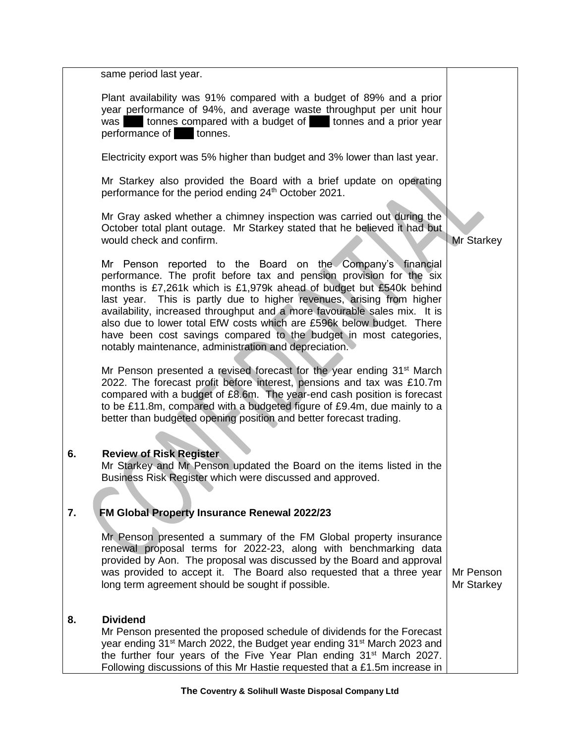|          | same period last year.                                                                                                                                                                                                                                                                                                                                                                                                                                                                                                                                                 |                         |
|----------|------------------------------------------------------------------------------------------------------------------------------------------------------------------------------------------------------------------------------------------------------------------------------------------------------------------------------------------------------------------------------------------------------------------------------------------------------------------------------------------------------------------------------------------------------------------------|-------------------------|
|          | Plant availability was 91% compared with a budget of 89% and a prior<br>year performance of 94%, and average waste throughput per unit hour<br>was tonnes compared with a budget of tonnes and a prior year<br>performance of<br>tonnes.                                                                                                                                                                                                                                                                                                                               |                         |
|          | Electricity export was 5% higher than budget and 3% lower than last year.                                                                                                                                                                                                                                                                                                                                                                                                                                                                                              |                         |
|          | Mr Starkey also provided the Board with a brief update on operating<br>performance for the period ending 24 <sup>th</sup> October 2021.                                                                                                                                                                                                                                                                                                                                                                                                                                |                         |
|          | Mr Gray asked whether a chimney inspection was carried out during the<br>October total plant outage. Mr Starkey stated that he believed it had but<br>would check and confirm.                                                                                                                                                                                                                                                                                                                                                                                         | <b>Mr Starkey</b>       |
|          | Mr Penson reported to the Board on the Company's financial<br>performance. The profit before tax and pension provision for the six<br>months is £7,261k which is £1,979k ahead of budget but £540k behind<br>last year. This is partly due to higher revenues, arising from higher<br>availability, increased throughput and a more favourable sales mix. It is<br>also due to lower total EfW costs which are £596k below budget. There<br>have been cost savings compared to the budget in most categories,<br>notably maintenance, administration and depreciation. |                         |
|          | Mr Penson presented a revised forecast for the year ending 31 <sup>st</sup> March<br>2022. The forecast profit before interest, pensions and tax was £10.7m<br>compared with a budget of £8.6m. The year-end cash position is forecast<br>to be £11.8m, compared with a budgeted figure of £9.4m, due mainly to a<br>better than budgeted opening position and better forecast trading.                                                                                                                                                                                |                         |
| 6.<br>7. | <b>Review of Risk Register</b><br>Mr Starkey and Mr Penson updated the Board on the items listed in the<br>Business Risk Register which were discussed and approved.<br>FM Global Property Insurance Renewal 2022/23                                                                                                                                                                                                                                                                                                                                                   |                         |
|          | Mr Penson presented a summary of the FM Global property insurance<br>renewal proposal terms for 2022-23, along with benchmarking data<br>provided by Aon. The proposal was discussed by the Board and approval<br>was provided to accept it. The Board also requested that a three year<br>long term agreement should be sought if possible.                                                                                                                                                                                                                           | Mr Penson<br>Mr Starkey |
| 8.       | <b>Dividend</b><br>Mr Penson presented the proposed schedule of dividends for the Forecast<br>year ending 31 <sup>st</sup> March 2022, the Budget year ending 31 <sup>st</sup> March 2023 and<br>the further four years of the Five Year Plan ending 31 <sup>st</sup> March 2027.<br>Following discussions of this Mr Hastie requested that a £1.5m increase in                                                                                                                                                                                                        |                         |